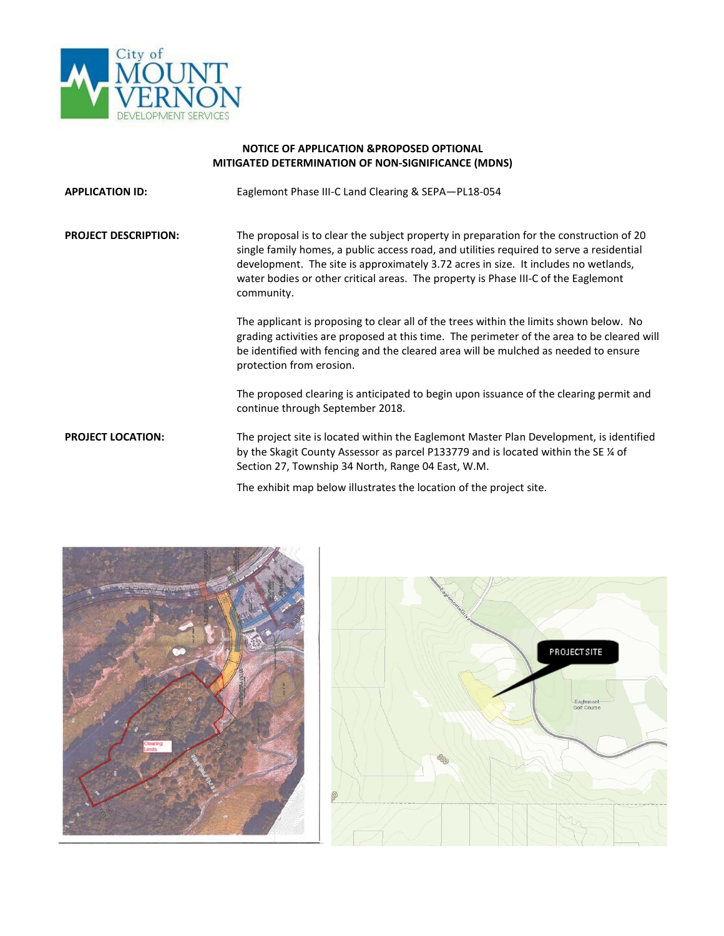

## **NOTICE OF APPLICATION &PROPOSED OPTIONAL MITIGATED DETERMINATION OF NON-SIGNIFICANCE (MDNS)**

**APPLICATION ID:** Eaglemont Phase III-C Land Clearing & SEPA—PL18-054

**PROJECT DESCRIPTION:** The proposal is to clear the subject property in preparation for the construction of 20 single family homes, a public access road, and utilities required to serve a residential development. The site is approximately 3.72 acres in size. It includes no wetlands, water bodies or other critical areas. The property is Phase III-C of the Eaglemont community.

> The applicant is proposing to clear all of the trees within the limits shown below. No grading activities are proposed at this time. The perimeter of the area to be cleared will be identified with fencing and the cleared area will be mulched as needed to ensure protection from erosion.

The proposed clearing is anticipated to begin upon issuance of the clearing permit and continue through September 2018.

**PROJECT LOCATION:** The project site is located within the Eaglemont Master Plan Development, is identified by the Skagit County Assessor as parcel P133779 and is located within the SE ¼ of Section 27, Township 34 North, Range 04 East, W.M.

The exhibit map below illustrates the location of the project site.